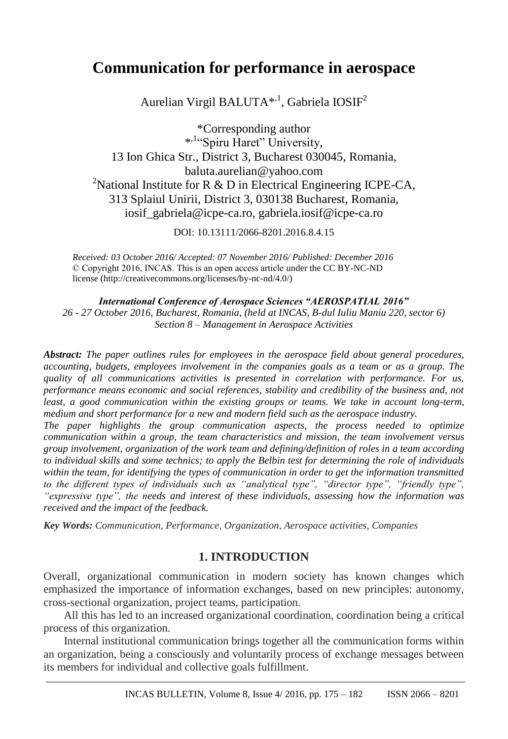# **Communication for performance in aerospace**

Aurelian Virgil BALUTA<sup>\*,1</sup>, Gabriela IOSIF<sup>2</sup>

\*Corresponding author \* ,1"Spiru Haret" University, 13 Ion Ghica Str., District 3, Bucharest 030045, Romania, baluta.aurelian@yahoo.com <sup>2</sup>National Institute for R & D in Electrical Engineering ICPE-CA, 313 Splaiul Unirii, District 3, 030138 Bucharest, Romania, iosif\_gabriela@icpe-ca.ro, gabriela.iosif@icpe-ca.ro

DOI: 10.13111/2066-8201.2016.8.4.15

*Received: 03 October 2016/ Accepted: 07 November 2016/ Published: December 2016* © Copyright 2016, INCAS. This is an open access article under the CC BY-NC-ND license (http://creativecommons.org/licenses/by-nc-nd/4.0/)

*International Conference of Aerospace Sciences "AEROSPATIAL 2016" 26 - 27 October 2016, Bucharest, Romania, (held at INCAS, B-dul Iuliu Maniu 220, sector 6) Section 8 – Management in Aerospace Activities*

*Abstract: The paper outlines rules for employees in the aerospace field about general procedures, accounting, budgets, employees involvement in the companies goals as a team or as a group. The quality of all communications activities is presented in correlation with performance. For us, performance means economic and social references, stability and credibility of the business and, not least, a good communication within the existing groups or teams. We take in account long-term, medium and short performance for a new and modern field such as the aerospace industry.*

*The paper highlights the group communication aspects, the process needed to optimize communication within a group, the team characteristics and mission, the team involvement versus group involvement, organization of the work team and defining/definition of roles in a team according to individual skills and some technics; to apply the Belbin test for determining the role of individuals within the team, for identifying the types of communication in order to get the information transmitted to the different types of individuals such as "analytical type", "director type", "friendly type", "expressive type", the needs and interest of these individuals, assessing how the information was received and the impact of the feedback.*

*Key Words: Communication, Performance, Organization, Aerospace activities, Companies* 

## **1. INTRODUCTION**

Overall, organizational communication in modern society has known changes which emphasized the importance of information exchanges, based on new principles: autonomy, cross-sectional organization, project teams, participation.

All this has led to an increased organizational coordination, coordination being a critical process of this organization.

Internal institutional communication brings together all the communication forms within an organization, being a consciously and voluntarily process of exchange messages between its members for individual and collective goals fulfillment.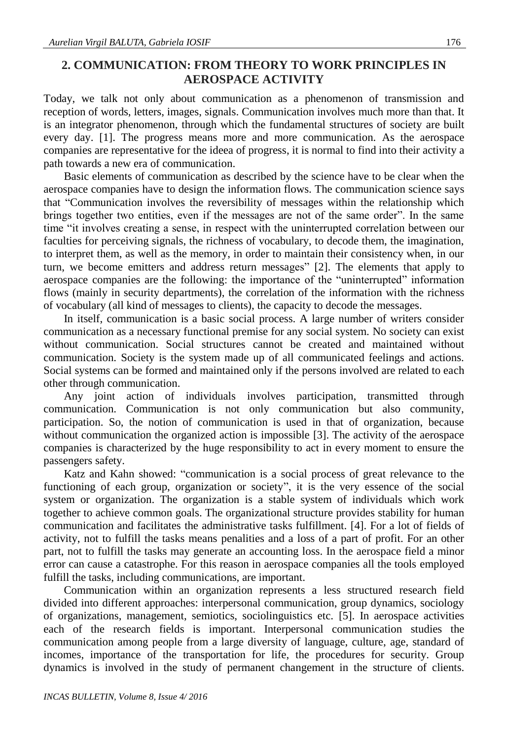# **2. COMMUNICATION: FROM THEORY TO WORK PRINCIPLES IN AEROSPACE ACTIVITY**

Today, we talk not only about communication as a phenomenon of transmission and reception of words, letters, images, signals. Communication involves much more than that. It is an integrator phenomenon, through which the fundamental structures of society are built every day. [1]. The progress means more and more communication. As the aerospace companies are representative for the ideea of progress, it is normal to find into their activity a path towards a new era of communication.

Basic elements of communication as described by the science have to be clear when the aerospace companies have to design the information flows. The communication science says that "Communication involves the reversibility of messages within the relationship which brings together two entities, even if the messages are not of the same order". In the same time "it involves creating a sense, in respect with the uninterrupted correlation between our faculties for perceiving signals, the richness of vocabulary, to decode them, the imagination, to interpret them, as well as the memory, in order to maintain their consistency when, in our turn, we become emitters and address return messages" [2]. The elements that apply to aerospace companies are the following: the importance of the "uninterrupted" information flows (mainly in security departments), the correlation of the information with the richness of vocabulary (all kind of messages to clients), the capacity to decode the messages.

In itself, communication is a basic social process. A large number of writers consider communication as a necessary functional premise for any social system. No society can exist without communication. Social structures cannot be created and maintained without communication. Society is the system made up of all communicated feelings and actions. Social systems can be formed and maintained only if the persons involved are related to each other through communication.

Any joint action of individuals involves participation, transmitted through communication. Communication is not only communication but also community, participation. So, the notion of communication is used in that of organization, because without communication the organized action is impossible [3]. The activity of the aerospace companies is characterized by the huge responsibility to act in every moment to ensure the passengers safety.

Katz and Kahn showed: "communication is a social process of great relevance to the functioning of each group, organization or society", it is the very essence of the social system or organization. The organization is a stable system of individuals which work together to achieve common goals. The organizational structure provides stability for human communication and facilitates the administrative tasks fulfillment. [4]. For a lot of fields of activity, not to fulfill the tasks means penalities and a loss of a part of profit. For an other part, not to fulfill the tasks may generate an accounting loss. In the aerospace field a minor error can cause a catastrophe. For this reason in aerospace companies all the tools employed fulfill the tasks, including communications, are important.

Communication within an organization represents a less structured research field divided into different approaches: interpersonal communication, group dynamics, sociology of organizations, management, semiotics, sociolinguistics etc. [5]. In aerospace activities each of the research fields is important. Interpersonal communication studies the communication among people from a large diversity of language, culture, age, standard of incomes, importance of the transportation for life, the procedures for security. Group dynamics is involved in the study of permanent changement in the structure of clients.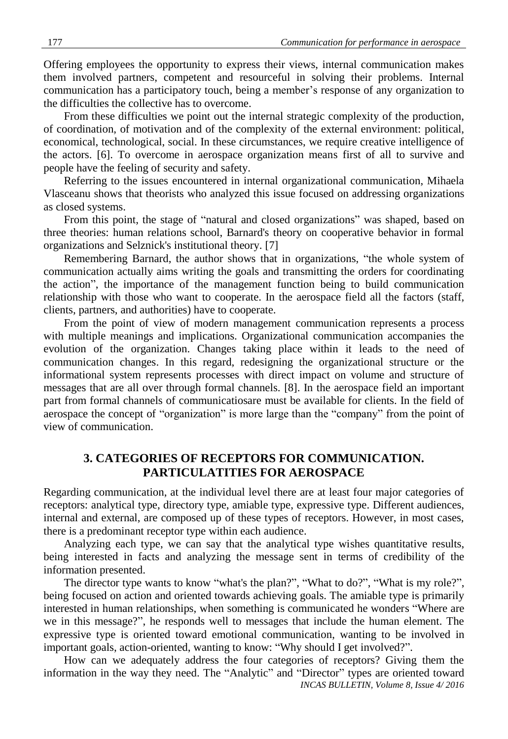Offering employees the opportunity to express their views, internal communication makes them involved partners, competent and resourceful in solving their problems. Internal communication has a participatory touch, being a member's response of any organization to the difficulties the collective has to overcome.

From these difficulties we point out the internal strategic complexity of the production, of coordination, of motivation and of the complexity of the external environment: political, economical, technological, social. In these circumstances, we require creative intelligence of the actors. [6]. To overcome in aerospace organization means first of all to survive and people have the feeling of security and safety.

Referring to the issues encountered in internal organizational communication, Mihaela Vlasceanu shows that theorists who analyzed this issue focused on addressing organizations as closed systems.

From this point, the stage of "natural and closed organizations" was shaped, based on three theories: human relations school, Barnard's theory on cooperative behavior in formal organizations and Selznick's institutional theory. [7]

Remembering Barnard, the author shows that in organizations, "the whole system of communication actually aims writing the goals and transmitting the orders for coordinating the action", the importance of the management function being to build communication relationship with those who want to cooperate. In the aerospace field all the factors (staff, clients, partners, and authorities) have to cooperate.

From the point of view of modern management communication represents a process with multiple meanings and implications. Organizational communication accompanies the evolution of the organization. Changes taking place within it leads to the need of communication changes. In this regard, redesigning the organizational structure or the informational system represents processes with direct impact on volume and structure of messages that are all over through formal channels. [8]. In the aerospace field an important part from formal channels of communicatiosare must be available for clients. In the field of aerospace the concept of "organization" is more large than the "company" from the point of view of communication.

## **3. CATEGORIES OF RECEPTORS FOR COMMUNICATION. PARTICULATITIES FOR AEROSPACE**

Regarding communication, at the individual level there are at least four major categories of receptors: analytical type, directory type, amiable type, expressive type. Different audiences, internal and external, are composed up of these types of receptors. However, in most cases, there is a predominant receptor type within each audience.

Analyzing each type, we can say that the analytical type wishes quantitative results, being interested in facts and analyzing the message sent in terms of credibility of the information presented.

The director type wants to know "what's the plan?", "What to do?", "What is my role?", being focused on action and oriented towards achieving goals. The amiable type is primarily interested in human relationships, when something is communicated he wonders "Where are we in this message?", he responds well to messages that include the human element. The expressive type is oriented toward emotional communication, wanting to be involved in important goals, action-oriented, wanting to know: "Why should I get involved?".

*INCAS BULLETIN, Volume 8, Issue 4/ 2016* How can we adequately address the four categories of receptors? Giving them the information in the way they need. The "Analytic" and "Director" types are oriented toward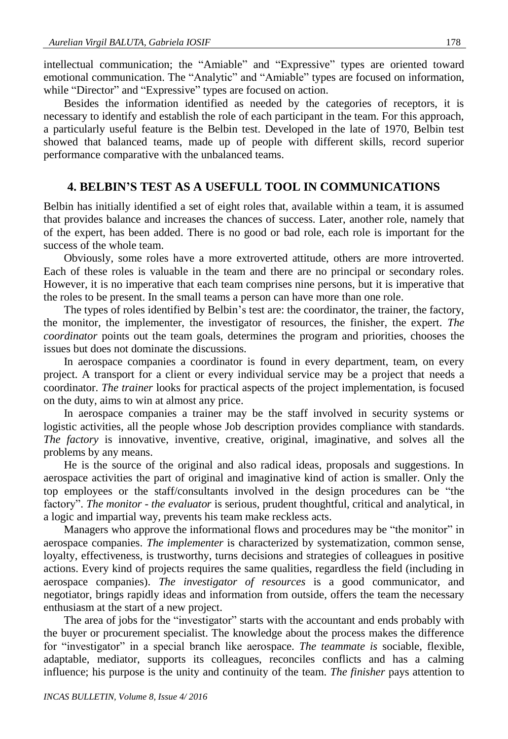intellectual communication; the "Amiable" and "Expressive" types are oriented toward emotional communication. The "Analytic" and "Amiable" types are focused on information, while "Director" and "Expressive" types are focused on action.

Besides the information identified as needed by the categories of receptors, it is necessary to identify and establish the role of each participant in the team. For this approach, a particularly useful feature is the Belbin test. Developed in the late of 1970, Belbin test showed that balanced teams, made up of people with different skills, record superior performance comparative with the unbalanced teams.

#### **4. BELBIN'S TEST AS A USEFULL TOOL IN COMMUNICATIONS**

Belbin has initially identified a set of eight roles that, available within a team, it is assumed that provides balance and increases the chances of success. Later, another role, namely that of the expert, has been added. There is no good or bad role, each role is important for the success of the whole team.

Obviously, some roles have a more extroverted attitude, others are more introverted. Each of these roles is valuable in the team and there are no principal or secondary roles. However, it is no imperative that each team comprises nine persons, but it is imperative that the roles to be present. In the small teams a person can have more than one role.

The types of roles identified by Belbin's test are: the coordinator, the trainer, the factory, the monitor, the implementer, the investigator of resources, the finisher, the expert. *The coordinator* points out the team goals, determines the program and priorities, chooses the issues but does not dominate the discussions.

In aerospace companies a coordinator is found in every department, team, on every project. A transport for a client or every individual service may be a project that needs a coordinator. *The trainer* looks for practical aspects of the project implementation, is focused on the duty, aims to win at almost any price.

In aerospace companies a trainer may be the staff involved in security systems or logistic activities, all the people whose Job description provides compliance with standards. *The factory* is innovative, inventive, creative, original, imaginative, and solves all the problems by any means.

He is the source of the original and also radical ideas, proposals and suggestions. In aerospace activities the part of original and imaginative kind of action is smaller. Only the top employees or the staff/consultants involved in the design procedures can be "the factory". *The monitor* - *the evaluator* is serious, prudent thoughtful, critical and analytical, in a logic and impartial way, prevents his team make reckless acts.

Managers who approve the informational flows and procedures may be "the monitor" in aerospace companies. *The implementer* is characterized by systematization, common sense, loyalty, effectiveness, is trustworthy, turns decisions and strategies of colleagues in positive actions. Every kind of projects requires the same qualities, regardless the field (including in aerospace companies). *The investigator of resources* is a good communicator, and negotiator, brings rapidly ideas and information from outside, offers the team the necessary enthusiasm at the start of a new project.

The area of jobs for the "investigator" starts with the accountant and ends probably with the buyer or procurement specialist. The knowledge about the process makes the difference for "investigator" in a special branch like aerospace. *The teammate is* sociable, flexible, adaptable, mediator, supports its colleagues, reconciles conflicts and has a calming influence; his purpose is the unity and continuity of the team. *The finisher* pays attention to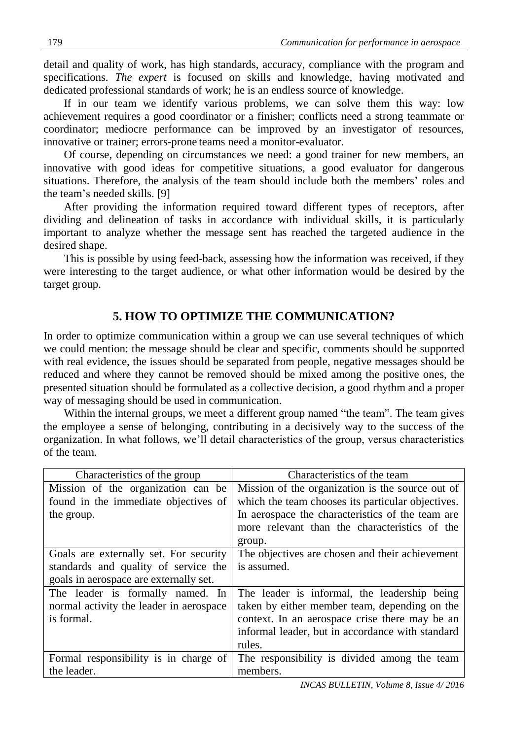detail and quality of work, has high standards, accuracy, compliance with the program and specifications. *The expert* is focused on skills and knowledge, having motivated and dedicated professional standards of work; he is an endless source of knowledge.

If in our team we identify various problems, we can solve them this way: low achievement requires a good coordinator or a finisher; conflicts need a strong teammate or coordinator; mediocre performance can be improved by an investigator of resources, innovative or trainer; errors-prone teams need a monitor-evaluator.

Of course, depending on circumstances we need: a good trainer for new members, an innovative with good ideas for competitive situations, a good evaluator for dangerous situations. Therefore, the analysis of the team should include both the members' roles and the team's needed skills. [9]

After providing the information required toward different types of receptors, after dividing and delineation of tasks in accordance with individual skills, it is particularly important to analyze whether the message sent has reached the targeted audience in the desired shape.

This is possible by using feed-back, assessing how the information was received, if they were interesting to the target audience, or what other information would be desired by the target group.

# **5. HOW TO OPTIMIZE THE COMMUNICATION?**

In order to optimize communication within a group we can use several techniques of which we could mention: the message should be clear and specific, comments should be supported with real evidence, the issues should be separated from people, negative messages should be reduced and where they cannot be removed should be mixed among the positive ones, the presented situation should be formulated as a collective decision, a good rhythm and a proper way of messaging should be used in communication.

Within the internal groups, we meet a different group named "the team". The team gives the employee a sense of belonging, contributing in a decisively way to the success of the organization. In what follows, we'll detail characteristics of the group, versus characteristics of the team.

| Characteristics of the group            | Characteristics of the team                       |
|-----------------------------------------|---------------------------------------------------|
| Mission of the organization can be      | Mission of the organization is the source out of  |
| found in the immediate objectives of    | which the team chooses its particular objectives. |
| the group.                              | In aerospace the characteristics of the team are  |
|                                         | more relevant than the characteristics of the     |
|                                         | group.                                            |
| Goals are externally set. For security  | The objectives are chosen and their achievement   |
| standards and quality of service the    | is assumed.                                       |
| goals in aerospace are externally set.  |                                                   |
| The leader is formally named. In        | The leader is informal, the leadership being      |
| normal activity the leader in aerospace | taken by either member team, depending on the     |
| is formal.                              | context. In an aerospace crise there may be an    |
|                                         | informal leader, but in accordance with standard  |
|                                         | rules.                                            |
| Formal responsibility is in charge of   | The responsibility is divided among the team      |
| the leader.                             | members.                                          |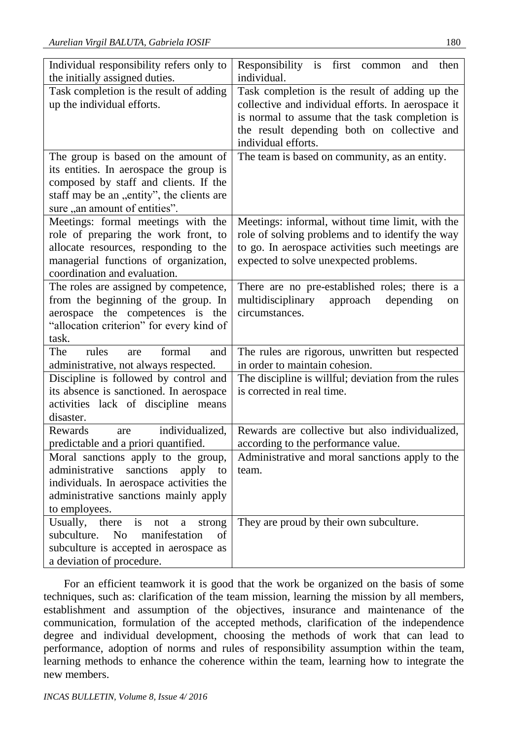| Individual responsibility refers only to                                    | Responsibility is first<br>then<br>common<br>and                                  |
|-----------------------------------------------------------------------------|-----------------------------------------------------------------------------------|
| the initially assigned duties.                                              | individual.                                                                       |
| Task completion is the result of adding                                     | Task completion is the result of adding up the                                    |
| up the individual efforts.                                                  | collective and individual efforts. In aerospace it                                |
|                                                                             | is normal to assume that the task completion is                                   |
|                                                                             | the result depending both on collective and                                       |
|                                                                             | individual efforts.                                                               |
| The group is based on the amount of                                         | The team is based on community, as an entity.                                     |
| its entities. In aerospace the group is                                     |                                                                                   |
| composed by staff and clients. If the                                       |                                                                                   |
| staff may be an "entity", the clients are                                   |                                                                                   |
| sure "an amount of entities".                                               |                                                                                   |
| Meetings: formal meetings with the                                          | Meetings: informal, without time limit, with the                                  |
| role of preparing the work front, to                                        | role of solving problems and to identify the way                                  |
| allocate resources, responding to the                                       | to go. In aerospace activities such meetings are                                  |
| managerial functions of organization,                                       | expected to solve unexpected problems.                                            |
| coordination and evaluation.                                                |                                                                                   |
| The roles are assigned by competence,                                       | There are no pre-established roles; there is a                                    |
| from the beginning of the group. In                                         | multidisciplinary<br>approach<br>depending<br>on                                  |
| aerospace the competences is the                                            | circumstances.                                                                    |
| "allocation criterion" for every kind of                                    |                                                                                   |
| task.<br>The<br>rules<br>formal                                             |                                                                                   |
| are<br>and                                                                  | The rules are rigorous, unwritten but respected<br>in order to maintain cohesion. |
| administrative, not always respected.                                       |                                                                                   |
| Discipline is followed by control and                                       | The discipline is willful; deviation from the rules<br>is corrected in real time. |
| its absence is sanctioned. In aerospace                                     |                                                                                   |
| activities lack of discipline means                                         |                                                                                   |
| disaster.<br>individualized,<br><b>Rewards</b>                              | Rewards are collective but also individualized,                                   |
| are                                                                         | according to the performance value.                                               |
| predictable and a priori quantified.<br>Moral sanctions apply to the group, | Administrative and moral sanctions apply to the                                   |
| administrative<br>sanctions<br>apply                                        | team.                                                                             |
| to<br>individuals. In aerospace activities the                              |                                                                                   |
| administrative sanctions mainly apply                                       |                                                                                   |
| to employees.                                                               |                                                                                   |
| Usually,<br>is<br>there<br>not<br>a                                         | They are proud by their own subculture.                                           |
| strong<br>manifestation<br>subculture.<br>N <sub>o</sub><br>οf              |                                                                                   |
| subculture is accepted in aerospace as                                      |                                                                                   |
| a deviation of procedure.                                                   |                                                                                   |
|                                                                             |                                                                                   |

For an efficient teamwork it is good that the work be organized on the basis of some techniques, such as: clarification of the team mission, learning the mission by all members, establishment and assumption of the objectives, insurance and maintenance of the communication, formulation of the accepted methods, clarification of the independence degree and individual development, choosing the methods of work that can lead to performance, adoption of norms and rules of responsibility assumption within the team, learning methods to enhance the coherence within the team, learning how to integrate the new members.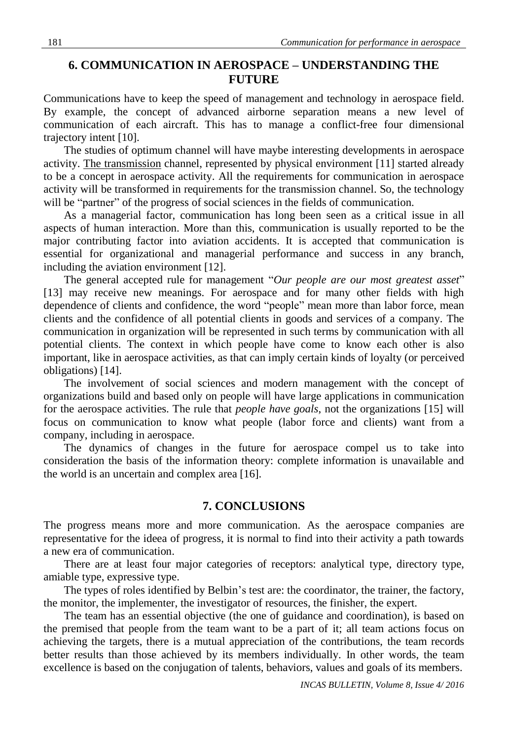## **6. COMMUNICATION IN AEROSPACE – UNDERSTANDING THE FUTURE**

Communications have to keep the speed of management and technology in aerospace field. By example, the concept of advanced airborne separation means a new level of communication of each aircraft. This has to manage a conflict-free four dimensional trajectory intent [10].

The studies of optimum channel will have maybe interesting developments in aerospace activity. The transmission channel, represented by physical environment [11] started already to be a concept in aerospace activity. All the requirements for communication in aerospace activity will be transformed in requirements for the transmission channel. So, the technology will be "partner" of the progress of social sciences in the fields of communication.

As a managerial factor, communication has long been seen as a critical issue in all aspects of human interaction. More than this, communication is usually reported to be the major contributing factor into aviation accidents. It is accepted that communication is essential for organizational and managerial performance and success in any branch, including the aviation environment [12].

The general accepted rule for management "*Our people are our most greatest asset*" [13] may receive new meanings. For aerospace and for many other fields with high dependence of clients and confidence, the word "people" mean more than labor force, mean clients and the confidence of all potential clients in goods and services of a company. The communication in organization will be represented in such terms by communication with all potential clients. The context in which people have come to know each other is also important, like in aerospace activities, as that can imply certain kinds of loyalty (or perceived obligations) [14].

The involvement of social sciences and modern management with the concept of organizations build and based only on people will have large applications in communication for the aerospace activities. The rule that *people have goals*, not the organizations [15] will focus on communication to know what people (labor force and clients) want from a company, including in aerospace.

The dynamics of changes in the future for aerospace compel us to take into consideration the basis of the information theory: complete information is unavailable and the world is an uncertain and complex area [16].

#### **7. CONCLUSIONS**

The progress means more and more communication. As the aerospace companies are representative for the ideea of progress, it is normal to find into their activity a path towards a new era of communication.

There are at least four major categories of receptors: analytical type, directory type, amiable type, expressive type.

The types of roles identified by Belbin's test are: the coordinator, the trainer, the factory, the monitor, the implementer, the investigator of resources, the finisher, the expert.

The team has an essential objective (the one of guidance and coordination), is based on the premised that people from the team want to be a part of it; all team actions focus on achieving the targets, there is a mutual appreciation of the contributions, the team records better results than those achieved by its members individually. In other words, the team excellence is based on the conjugation of talents, behaviors, values and goals of its members.